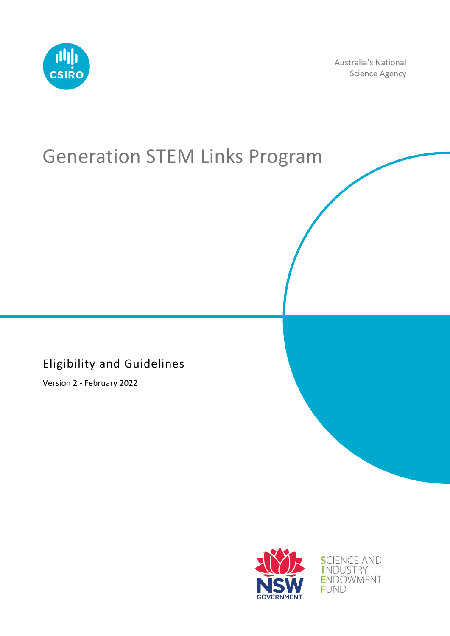

Australia's National Science Agency

# Generation STEM Links Program

#### Eligibility and Guidelines

Version 2 - February 2022



**SCIENCE AND** INDUSTRY<br>ENDOWMENT **FUND**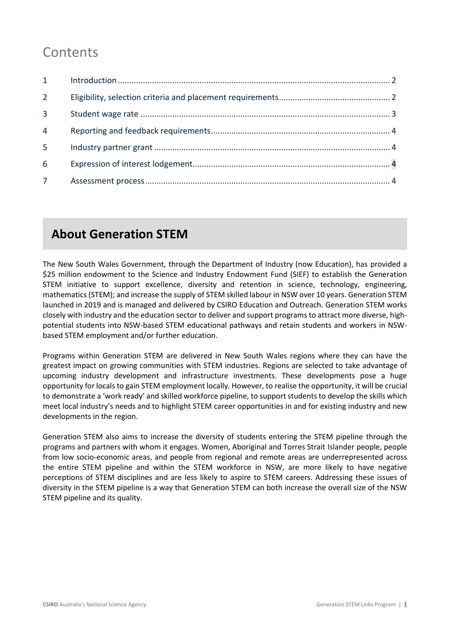# **Contents**

| $1 \quad$      |  |
|----------------|--|
| $\overline{2}$ |  |
| $\overline{3}$ |  |
| 4              |  |
| 5              |  |
| 6              |  |
|                |  |

### **About Generation STEM**

The New South Wales Government, through the Department of Industry (now Education), has provided a \$25 million endowment to the Science and Industry Endowment Fund (SIEF) to establish the Generation STEM initiative to support excellence, diversity and retention in science, technology, engineering, mathematics (STEM); and increase the supply of STEM skilled labour in NSW over 10 years. Generation STEM launched in 2019 and is managed and delivered by CSIRO Education and Outreach. Generation STEM works closely with industry and the education sector to deliver and support programs to attract more diverse, highpotential students into NSW-based STEM educational pathways and retain students and workers in NSWbased STEM employment and/or further education.

Programs within Generation STEM are delivered in New South Wales regions where they can have the greatest impact on growing communities with STEM industries. Regions are selected to take advantage of upcoming industry development and infrastructure investments. These developments pose a huge opportunity for locals to gain STEM employment locally. However, to realise the opportunity, it will be crucial to demonstrate a 'work ready' and skilled workforce pipeline, to support students to develop the skills which meet local industry's needs and to highlight STEM career opportunities in and for existing industry and new developments in the region.

Generation STEM also aims to increase the diversity of students entering the STEM pipeline through the programs and partners with whom it engages. Women, Aboriginal and Torres Strait Islander people, people from low socio-economic areas, and people from regional and remote areas are underrepresented across the entire STEM pipeline and within the STEM workforce in NSW, are more likely to have negative perceptions of STEM disciplines and are less likely to aspire to STEM careers. Addressing these issues of diversity in the STEM pipeline is a way that Generation STEM can both increase the overall size of the NSW STEM pipeline and its quality.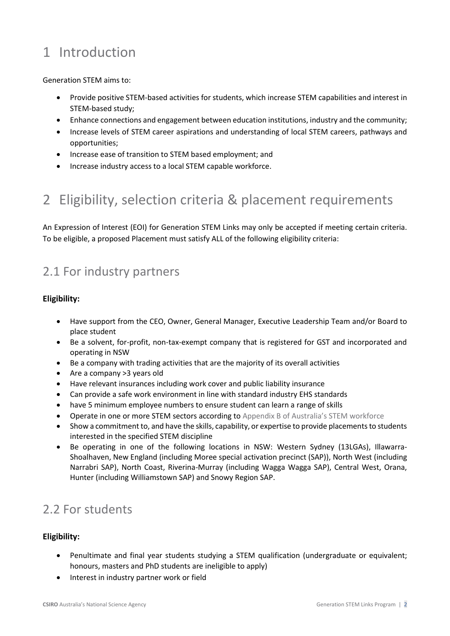# <span id="page-2-0"></span>1 Introduction

<span id="page-2-1"></span>Generation STEM aims to:

- Provide positive STEM-based activities for students, which increase STEM capabilities and interest in STEM-based study;
- Enhance connections and engagement between education institutions, industry and the community;
- Increase levels of STEM career aspirations and understanding of local STEM careers, pathways and opportunities;
- Increase ease of transition to STEM based employment; and
- Increase industry access to a local STEM capable workforce.

# 2 Eligibility, selection criteria & placement requirements

An Expression of Interest (EOI) for Generation STEM Links may only be accepted if meeting certain criteria. To be eligible, a proposed Placement must satisfy ALL of the following eligibility criteria:

#### 2.1 For industry partners

#### **Eligibility:**

- Have support from the CEO, Owner, General Manager, Executive Leadership Team and/or Board to place student
- Be a solvent, for-profit, non-tax-exempt company that is registered for GST and incorporated and operating in NSW
- Be a company with trading activities that are the majority of its overall activities
- Are a company >3 years old
- Have relevant insurances including work cover and public liability insurance
- Can provide a safe work environment in line with standard industry EHS standards
- have 5 minimum employee numbers to ensure student can learn a range of skills
- Operate in one or more STEM sectors according to [Appendix B of Australia's STEM workforce](https://www.chiefscientist.gov.au/sites/default/files/Australias-STEM-workforce_full-report.pdf)
- Show a commitment to, and have the skills, capability, or expertise to provide placements to students interested in the specified STEM discipline
- Be operating in one of the following locations in NSW: Western Sydney (13LGAs), Illawarra-Shoalhaven, New England (including Moree special activation precinct (SAP)), North West (including Narrabri SAP), North Coast, Riverina-Murray (including Wagga Wagga SAP), Central West, Orana, Hunter (including Williamstown SAP) and Snowy Region SAP.

#### 2.2 For students

#### **Eligibility:**

- Penultimate and final year students studying a STEM qualification (undergraduate or equivalent; honours, masters and PhD students are ineligible to apply)
- Interest in industry partner work or field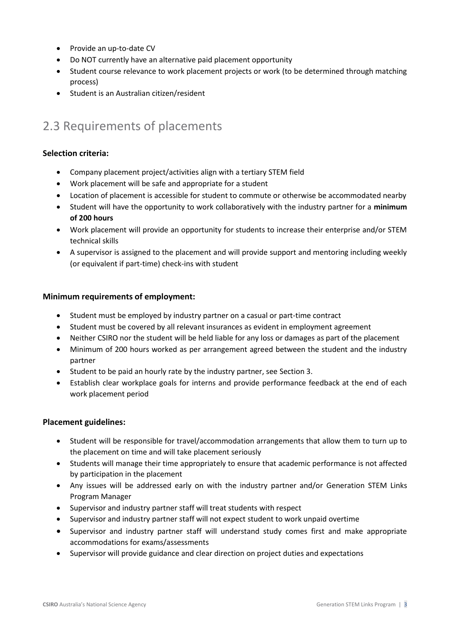- Provide an up-to-date CV
- Do NOT currently have an alternative paid placement opportunity
- Student course relevance to work placement projects or work (to be determined through matching process)
- Student is an Australian citizen/resident

#### 2.3 Requirements of placements

#### **Selection criteria:**

- Company placement project/activities align with a tertiary STEM field
- Work placement will be safe and appropriate for a student
- Location of placement is accessible for student to commute or otherwise be accommodated nearby
- Student will have the opportunity to work collaboratively with the industry partner for a **minimum of 200 hours**
- Work placement will provide an opportunity for students to increase their enterprise and/or STEM technical skills
- A supervisor is assigned to the placement and will provide support and mentoring including weekly (or equivalent if part-time) check-ins with student

#### **Minimum requirements of employment:**

- Student must be employed by industry partner on a casual or part-time contract
- Student must be covered by all relevant insurances as evident in employment agreement
- Neither CSIRO nor the student will be held liable for any loss or damages as part of the placement
- Minimum of 200 hours worked as per arrangement agreed between the student and the industry partner
- Student to be paid an hourly rate by the industry partner, see Section 3.
- Establish clear workplace goals for interns and provide performance feedback at the end of each work placement period

#### **Placement guidelines:**

- <span id="page-3-0"></span>• Student will be responsible for travel/accommodation arrangements that allow them to turn up to the placement on time and will take placement seriously
- Students will manage their time appropriately to ensure that academic performance is not affected by participation in the placement
- Any issues will be addressed early on with the industry partner and/or Generation STEM Links Program Manager
- Supervisor and industry partner staff will treat students with respect
- Supervisor and industry partner staff will not expect student to work unpaid overtime
- Supervisor and industry partner staff will understand study comes first and make appropriate accommodations for exams/assessments
- Supervisor will provide guidance and clear direction on project duties and expectations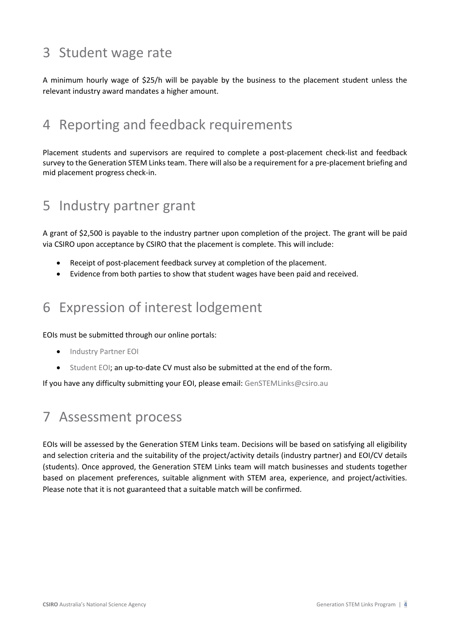## 3 Student wage rate

A minimum hourly wage of \$25/h will be payable by the business to the placement student unless the relevant industry award mandates a higher amount.

### <span id="page-4-0"></span>4 Reporting and feedback requirements

Placement students and supervisors are required to complete a post-placement check-list and feedback survey to the Generation STEM Links team. There will also be a requirement for a pre-placement briefing and mid placement progress check-in.

### 5 Industry partner grant

A grant of \$2,500 is payable to the industry partner upon completion of the project. The grant will be paid via CSIRO upon acceptance by CSIRO that the placement is complete. This will include:

- Receipt of post-placement feedback survey at completion of the placement.
- Evidence from both parties to show that student wages have been paid and received.

### <span id="page-4-1"></span>6 Expression of interest lodgement

EOIs must be submitted through our online portals:

- [Industry Partner EOI](https://www.csiro.au/en/education/Programs/Generation-STEM/Links-program/partner-EOI)
- [Student EOI;](https://www.csiro.au/en/education/Programs/Generation-STEM/Links-program/student-EOI) an up-to-date CV must also be submitted at the end of the form.

<span id="page-4-2"></span>If you have any difficulty submitting your EOI, please email: [GenSTEMLinks@csiro.au](mailto:GenSTEMLinks@csiro.au)

### 7 Assessment process

EOIs will be assessed by the Generation STEM Links team. Decisions will be based on satisfying all eligibility and selection criteria and the suitability of the project/activity details (industry partner) and EOI/CV details (students). Once approved, the Generation STEM Links team will match businesses and students together based on placement preferences, suitable alignment with STEM area, experience, and project/activities. Please note that it is not guaranteed that a suitable match will be confirmed.